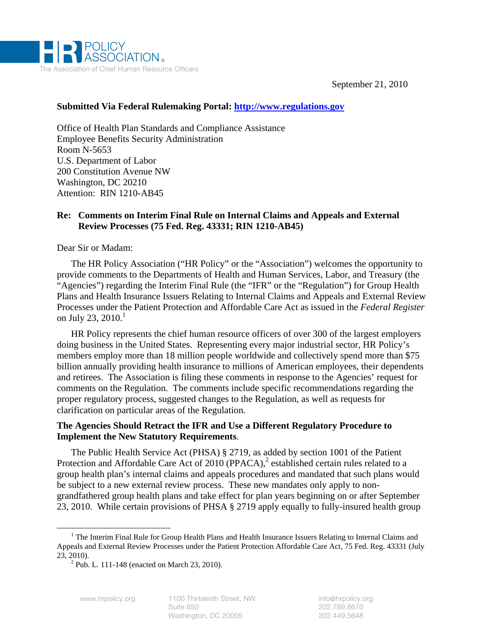

September 21, 2010

#### **Submitted Via Federal Rulemaking Portal: http://www.regulations.gov**

Office of Health Plan Standards and Compliance Assistance Employee Benefits Security Administration Room N-5653 U.S. Department of Labor 200 Constitution Avenue NW Washington, DC 20210 Attention: RIN 1210-AB45

## **Re: Comments on Interim Final Rule on Internal Claims and Appeals and External Review Processes (75 Fed. Reg. 43331; RIN 1210-AB45)**

Dear Sir or Madam:

The HR Policy Association ("HR Policy" or the "Association") welcomes the opportunity to provide comments to the Departments of Health and Human Services, Labor, and Treasury (the "Agencies") regarding the Interim Final Rule (the "IFR" or the "Regulation") for Group Health Plans and Health Insurance Issuers Relating to Internal Claims and Appeals and External Review Processes under the Patient Protection and Affordable Care Act as issued in the *Federal Register* on July 23, 2010. $^1$ 

HR Policy represents the chief human resource officers of over 300 of the largest employers doing business in the United States. Representing every major industrial sector, HR Policy's members employ more than 18 million people worldwide and collectively spend more than \$75 billion annually providing health insurance to millions of American employees, their dependents and retirees. The Association is filing these comments in response to the Agencies' request for comments on the Regulation. The comments include specific recommendations regarding the proper regulatory process, suggested changes to the Regulation, as well as requests for clarification on particular areas of the Regulation.

## **The Agencies Should Retract the IFR and Use a Different Regulatory Procedure to Implement the New Statutory Requirements**.

The Public Health Service Act (PHSA) § 2719, as added by section 1001 of the Patient Protection and Affordable Care Act of 2010 (PPACA),<sup>2</sup> established certain rules related to a group health plan's internal claims and appeals procedures and mandated that such plans would be subject to a new external review process. These new mandates only apply to nongrandfathered group health plans and take effect for plan years beginning on or after September 23, 2010. While certain provisions of PHSA § 2719 apply equally to fully-insured health group

 <sup>1</sup> <sup>1</sup> The Interim Final Rule for Group Health Plans and Health Insurance Issuers Relating to Internal Claims and Appeals and External Review Processes under the Patient Protection Affordable Care Act, 75 Fed. Reg. 43331 (July 23, 2010). 2

 $^{2}$  Pub. L. 111-148 (enacted on March 23, 2010).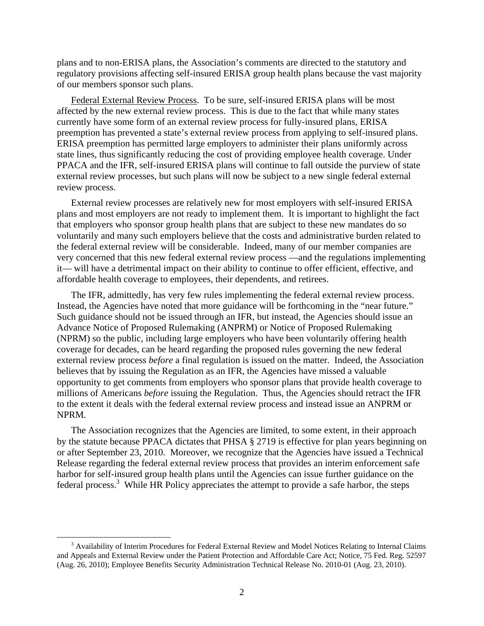plans and to non-ERISA plans, the Association's comments are directed to the statutory and regulatory provisions affecting self-insured ERISA group health plans because the vast majority of our members sponsor such plans.

Federal External Review Process. To be sure, self-insured ERISA plans will be most affected by the new external review process. This is due to the fact that while many states currently have some form of an external review process for fully-insured plans, ERISA preemption has prevented a state's external review process from applying to self-insured plans. ERISA preemption has permitted large employers to administer their plans uniformly across state lines, thus significantly reducing the cost of providing employee health coverage. Under PPACA and the IFR, self-insured ERISA plans will continue to fall outside the purview of state external review processes, but such plans will now be subject to a new single federal external review process.

External review processes are relatively new for most employers with self-insured ERISA plans and most employers are not ready to implement them. It is important to highlight the fact that employers who sponsor group health plans that are subject to these new mandates do so voluntarily and many such employers believe that the costs and administrative burden related to the federal external review will be considerable. Indeed, many of our member companies are very concerned that this new federal external review process —and the regulations implementing it— will have a detrimental impact on their ability to continue to offer efficient, effective, and affordable health coverage to employees, their dependents, and retirees.

The IFR, admittedly, has very few rules implementing the federal external review process. Instead, the Agencies have noted that more guidance will be forthcoming in the "near future." Such guidance should not be issued through an IFR, but instead, the Agencies should issue an Advance Notice of Proposed Rulemaking (ANPRM) or Notice of Proposed Rulemaking (NPRM) so the public, including large employers who have been voluntarily offering health coverage for decades, can be heard regarding the proposed rules governing the new federal external review process *before* a final regulation is issued on the matter. Indeed, the Association believes that by issuing the Regulation as an IFR, the Agencies have missed a valuable opportunity to get comments from employers who sponsor plans that provide health coverage to millions of Americans *before* issuing the Regulation. Thus, the Agencies should retract the IFR to the extent it deals with the federal external review process and instead issue an ANPRM or NPRM.

The Association recognizes that the Agencies are limited, to some extent, in their approach by the statute because PPACA dictates that PHSA § 2719 is effective for plan years beginning on or after September 23, 2010. Moreover, we recognize that the Agencies have issued a Technical Release regarding the federal external review process that provides an interim enforcement safe harbor for self-insured group health plans until the Agencies can issue further guidance on the federal process.<sup>3</sup> While HR Policy appreciates the attempt to provide a safe harbor, the steps

 $\frac{1}{3}$ <sup>3</sup> Availability of Interim Procedures for Federal External Review and Model Notices Relating to Internal Claims and Appeals and External Review under the Patient Protection and Affordable Care Act; Notice, 75 Fed. Reg. 52597 (Aug. 26, 2010); Employee Benefits Security Administration Technical Release No. 2010-01 (Aug. 23, 2010).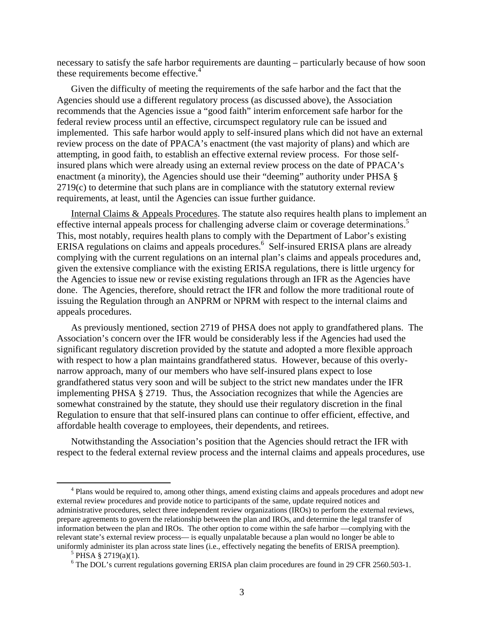necessary to satisfy the safe harbor requirements are daunting – particularly because of how soon these requirements become effective.<sup>4</sup>

Given the difficulty of meeting the requirements of the safe harbor and the fact that the Agencies should use a different regulatory process (as discussed above), the Association recommends that the Agencies issue a "good faith" interim enforcement safe harbor for the federal review process until an effective, circumspect regulatory rule can be issued and implemented. This safe harbor would apply to self-insured plans which did not have an external review process on the date of PPACA's enactment (the vast majority of plans) and which are attempting, in good faith, to establish an effective external review process. For those selfinsured plans which were already using an external review process on the date of PPACA's enactment (a minority), the Agencies should use their "deeming" authority under PHSA § 2719(c) to determine that such plans are in compliance with the statutory external review requirements, at least, until the Agencies can issue further guidance.

Internal Claims & Appeals Procedures. The statute also requires health plans to implement an effective internal appeals process for challenging adverse claim or coverage determinations.<sup>5</sup> This, most notably, requires health plans to comply with the Department of Labor's existing ERISA regulations on claims and appeals procedures.<sup>6</sup> Self-insured ERISA plans are already complying with the current regulations on an internal plan's claims and appeals procedures and, given the extensive compliance with the existing ERISA regulations, there is little urgency for the Agencies to issue new or revise existing regulations through an IFR as the Agencies have done. The Agencies, therefore, should retract the IFR and follow the more traditional route of issuing the Regulation through an ANPRM or NPRM with respect to the internal claims and appeals procedures.

As previously mentioned, section 2719 of PHSA does not apply to grandfathered plans. The Association's concern over the IFR would be considerably less if the Agencies had used the significant regulatory discretion provided by the statute and adopted a more flexible approach with respect to how a plan maintains grandfathered status. However, because of this overlynarrow approach, many of our members who have self-insured plans expect to lose grandfathered status very soon and will be subject to the strict new mandates under the IFR implementing PHSA § 2719. Thus, the Association recognizes that while the Agencies are somewhat constrained by the statute, they should use their regulatory discretion in the final Regulation to ensure that that self-insured plans can continue to offer efficient, effective, and affordable health coverage to employees, their dependents, and retirees.

Notwithstanding the Association's position that the Agencies should retract the IFR with respect to the federal external review process and the internal claims and appeals procedures, use

 $\overline{4}$ <sup>4</sup> Plans would be required to, among other things, amend existing claims and appeals procedures and adopt new external review procedures and provide notice to participants of the same, update required notices and administrative procedures, select three independent review organizations (IROs) to perform the external reviews, prepare agreements to govern the relationship between the plan and IROs, and determine the legal transfer of information between the plan and IROs. The other option to come within the safe harbor —complying with the relevant state's external review process— is equally unpalatable because a plan would no longer be able to uniformly administer its plan across state lines (i.e., effectively negating the benefits of ERISA preemption).

 $5$  PHSA § 2719(a)(1).

<sup>&</sup>lt;sup>6</sup> The DOL's current regulations governing ERISA plan claim procedures are found in 29 CFR 2560.503-1.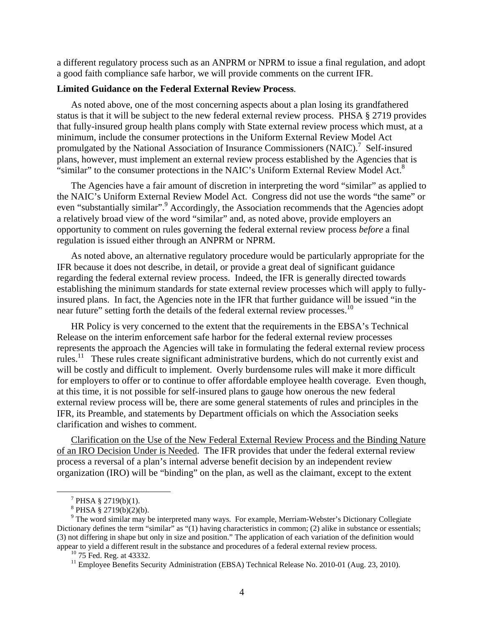a different regulatory process such as an ANPRM or NPRM to issue a final regulation, and adopt a good faith compliance safe harbor, we will provide comments on the current IFR.

#### **Limited Guidance on the Federal External Review Process**.

As noted above, one of the most concerning aspects about a plan losing its grandfathered status is that it will be subject to the new federal external review process. PHSA § 2719 provides that fully-insured group health plans comply with State external review process which must, at a minimum, include the consumer protections in the Uniform External Review Model Act promulgated by the National Association of Insurance Commissioners  $(NAIC)^{7}$  Self-insured plans, however, must implement an external review process established by the Agencies that is "similar" to the consumer protections in the NAIC's Uniform External Review Model Act. $8$ 

The Agencies have a fair amount of discretion in interpreting the word "similar" as applied to the NAIC's Uniform External Review Model Act. Congress did not use the words "the same" or even "substantially similar".<sup>9</sup> Accordingly, the Association recommends that the Agencies adopt a relatively broad view of the word "similar" and, as noted above, provide employers an opportunity to comment on rules governing the federal external review process *before* a final regulation is issued either through an ANPRM or NPRM.

As noted above, an alternative regulatory procedure would be particularly appropriate for the IFR because it does not describe, in detail, or provide a great deal of significant guidance regarding the federal external review process. Indeed, the IFR is generally directed towards establishing the minimum standards for state external review processes which will apply to fullyinsured plans. In fact, the Agencies note in the IFR that further guidance will be issued "in the near future" setting forth the details of the federal external review processes.<sup>10</sup>

HR Policy is very concerned to the extent that the requirements in the EBSA's Technical Release on the interim enforcement safe harbor for the federal external review processes represents the approach the Agencies will take in formulating the federal external review process rules.11 These rules create significant administrative burdens, which do not currently exist and will be costly and difficult to implement. Overly burdensome rules will make it more difficult for employers to offer or to continue to offer affordable employee health coverage. Even though, at this time, it is not possible for self-insured plans to gauge how onerous the new federal external review process will be, there are some general statements of rules and principles in the IFR, its Preamble, and statements by Department officials on which the Association seeks clarification and wishes to comment.

Clarification on the Use of the New Federal External Review Process and the Binding Nature of an IRO Decision Under is Needed. The IFR provides that under the federal external review process a reversal of a plan's internal adverse benefit decision by an independent review organization (IRO) will be "binding" on the plan, as well as the claimant, except to the extent

 $\frac{1}{7}$  $7$  PHSA § 2719(b)(1).

 $8$  PHSA § 2719(b)(2)(b).

<sup>&</sup>lt;sup>9</sup> The word similar may be interpreted many ways. For example, Merriam-Webster's Dictionary Collegiate Dictionary defines the term "similar" as "(1) having characteristics in common; (2) alike in substance or essentials; (3) not differing in shape but only in size and position." The application of each variation of the definition would appear to yield a different result in the substance and procedures of a federal external review process. 10 75 Fed. Reg. at 43332.

<sup>&</sup>lt;sup>11</sup> Employee Benefits Security Administration (EBSA) Technical Release No. 2010-01 (Aug. 23, 2010).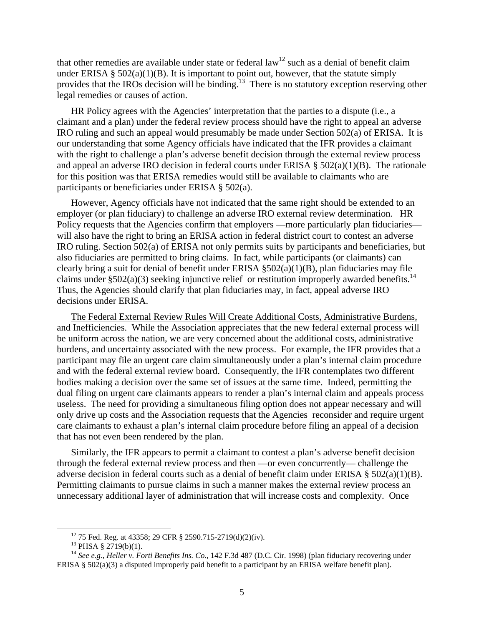that other remedies are available under state or federal  $law<sup>12</sup>$  such as a denial of benefit claim under ERISA  $\S$  502(a)(1)(B). It is important to point out, however, that the statute simply provides that the IROs decision will be binding.<sup>13</sup> There is no statutory exception reserving other legal remedies or causes of action.

HR Policy agrees with the Agencies' interpretation that the parties to a dispute (i.e., a claimant and a plan) under the federal review process should have the right to appeal an adverse IRO ruling and such an appeal would presumably be made under Section 502(a) of ERISA. It is our understanding that some Agency officials have indicated that the IFR provides a claimant with the right to challenge a plan's adverse benefit decision through the external review process and appeal an adverse IRO decision in federal courts under ERISA  $\S$  502(a)(1)(B). The rationale for this position was that ERISA remedies would still be available to claimants who are participants or beneficiaries under ERISA § 502(a).

However, Agency officials have not indicated that the same right should be extended to an employer (or plan fiduciary) to challenge an adverse IRO external review determination. HR Policy requests that the Agencies confirm that employers —more particularly plan fiduciaries will also have the right to bring an ERISA action in federal district court to contest an adverse IRO ruling. Section 502(a) of ERISA not only permits suits by participants and beneficiaries, but also fiduciaries are permitted to bring claims. In fact, while participants (or claimants) can clearly bring a suit for denial of benefit under ERISA  $\S502(a)(1)(B)$ , plan fiduciaries may file claims under  $\S 502(a)(3)$  seeking injunctive relief or restitution improperly awarded benefits.<sup>14</sup> Thus, the Agencies should clarify that plan fiduciaries may, in fact, appeal adverse IRO decisions under ERISA.

The Federal External Review Rules Will Create Additional Costs, Administrative Burdens, and Inefficiencies. While the Association appreciates that the new federal external process will be uniform across the nation, we are very concerned about the additional costs, administrative burdens, and uncertainty associated with the new process. For example, the IFR provides that a participant may file an urgent care claim simultaneously under a plan's internal claim procedure and with the federal external review board. Consequently, the IFR contemplates two different bodies making a decision over the same set of issues at the same time. Indeed, permitting the dual filing on urgent care claimants appears to render a plan's internal claim and appeals process useless. The need for providing a simultaneous filing option does not appear necessary and will only drive up costs and the Association requests that the Agencies reconsider and require urgent care claimants to exhaust a plan's internal claim procedure before filing an appeal of a decision that has not even been rendered by the plan.

Similarly, the IFR appears to permit a claimant to contest a plan's adverse benefit decision through the federal external review process and then —or even concurrently— challenge the adverse decision in federal courts such as a denial of benefit claim under ERISA § 502(a)(1)(B). Permitting claimants to pursue claims in such a manner makes the external review process an unnecessary additional layer of administration that will increase costs and complexity. Once

<sup>&</sup>lt;sup>12</sup> 75 Fed. Reg. at 43358; 29 CFR § 2590.715-2719(d)(2)(iv).

 $13$  PHSA § 2719(b)(1).

<sup>14</sup> *See e.g.*, *Heller v. Forti Benefits Ins. Co.*, 142 F.3d 487 (D.C. Cir. 1998) (plan fiduciary recovering under ERISA § 502(a)(3) a disputed improperly paid benefit to a participant by an ERISA welfare benefit plan).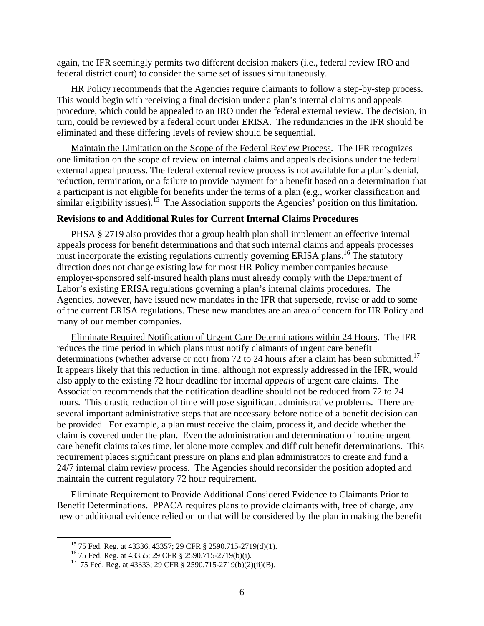again, the IFR seemingly permits two different decision makers (i.e., federal review IRO and federal district court) to consider the same set of issues simultaneously.

HR Policy recommends that the Agencies require claimants to follow a step-by-step process. This would begin with receiving a final decision under a plan's internal claims and appeals procedure, which could be appealed to an IRO under the federal external review. The decision, in turn, could be reviewed by a federal court under ERISA. The redundancies in the IFR should be eliminated and these differing levels of review should be sequential.

Maintain the Limitation on the Scope of the Federal Review Process. The IFR recognizes one limitation on the scope of review on internal claims and appeals decisions under the federal external appeal process. The federal external review process is not available for a plan's denial, reduction, termination, or a failure to provide payment for a benefit based on a determination that a participant is not eligible for benefits under the terms of a plan (e.g., worker classification and similar eligibility issues).<sup>15</sup> The Association supports the Agencies' position on this limitation.

# **Revisions to and Additional Rules for Current Internal Claims Procedures**

PHSA § 2719 also provides that a group health plan shall implement an effective internal appeals process for benefit determinations and that such internal claims and appeals processes must incorporate the existing regulations currently governing ERISA plans.<sup>16</sup> The statutory direction does not change existing law for most HR Policy member companies because employer-sponsored self-insured health plans must already comply with the Department of Labor's existing ERISA regulations governing a plan's internal claims procedures. The Agencies, however, have issued new mandates in the IFR that supersede, revise or add to some of the current ERISA regulations. These new mandates are an area of concern for HR Policy and many of our member companies.

Eliminate Required Notification of Urgent Care Determinations within 24 Hours. The IFR reduces the time period in which plans must notify claimants of urgent care benefit determinations (whether adverse or not) from 72 to 24 hours after a claim has been submitted.<sup>17</sup> It appears likely that this reduction in time, although not expressly addressed in the IFR, would also apply to the existing 72 hour deadline for internal *appeals* of urgent care claims. The Association recommends that the notification deadline should not be reduced from 72 to 24 hours. This drastic reduction of time will pose significant administrative problems. There are several important administrative steps that are necessary before notice of a benefit decision can be provided. For example, a plan must receive the claim, process it, and decide whether the claim is covered under the plan. Even the administration and determination of routine urgent care benefit claims takes time, let alone more complex and difficult benefit determinations. This requirement places significant pressure on plans and plan administrators to create and fund a 24/7 internal claim review process. The Agencies should reconsider the position adopted and maintain the current regulatory 72 hour requirement.

Eliminate Requirement to Provide Additional Considered Evidence to Claimants Prior to Benefit Determinations. PPACA requires plans to provide claimants with, free of charge, any new or additional evidence relied on or that will be considered by the plan in making the benefit

 <sup>15 75</sup> Fed. Reg. at 43336, 43357; 29 CFR § 2590.715-2719(d)(1).

<sup>16 75</sup> Fed. Reg. at 43355; 29 CFR § 2590.715-2719(b)(i).

<sup>17 75</sup> Fed. Reg. at 43333; 29 CFR § 2590.715-2719(b)(2)(ii)(B).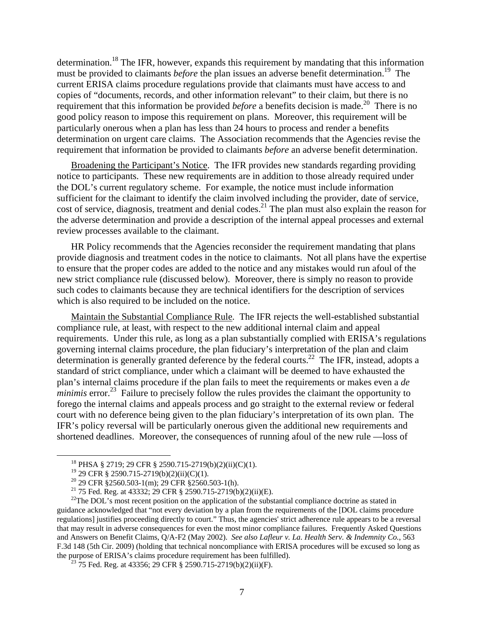determination.18 The IFR, however, expands this requirement by mandating that this information must be provided to claimants *before* the plan issues an adverse benefit determination.<sup>19</sup> The current ERISA claims procedure regulations provide that claimants must have access to and copies of "documents, records, and other information relevant" to their claim, but there is no requirement that this information be provided *before* a benefits decision is made.<sup>20</sup> There is no good policy reason to impose this requirement on plans. Moreover, this requirement will be particularly onerous when a plan has less than 24 hours to process and render a benefits determination on urgent care claims. The Association recommends that the Agencies revise the requirement that information be provided to claimants *before* an adverse benefit determination.

Broadening the Participant's Notice. The IFR provides new standards regarding providing notice to participants. These new requirements are in addition to those already required under the DOL's current regulatory scheme. For example, the notice must include information sufficient for the claimant to identify the claim involved including the provider, date of service, cost of service, diagnosis, treatment and denial codes.<sup>21</sup> The plan must also explain the reason for the adverse determination and provide a description of the internal appeal processes and external review processes available to the claimant.

HR Policy recommends that the Agencies reconsider the requirement mandating that plans provide diagnosis and treatment codes in the notice to claimants. Not all plans have the expertise to ensure that the proper codes are added to the notice and any mistakes would run afoul of the new strict compliance rule (discussed below). Moreover, there is simply no reason to provide such codes to claimants because they are technical identifiers for the description of services which is also required to be included on the notice.

Maintain the Substantial Compliance Rule. The IFR rejects the well-established substantial compliance rule, at least, with respect to the new additional internal claim and appeal requirements. Under this rule, as long as a plan substantially complied with ERISA's regulations governing internal claims procedure, the plan fiduciary's interpretation of the plan and claim determination is generally granted deference by the federal courts.<sup>22</sup> The IFR, instead, adopts a standard of strict compliance, under which a claimant will be deemed to have exhausted the plan's internal claims procedure if the plan fails to meet the requirements or makes even a *de minimis* error.<sup>23</sup> Failure to precisely follow the rules provides the claimant the opportunity to forego the internal claims and appeals process and go straight to the external review or federal court with no deference being given to the plan fiduciary's interpretation of its own plan. The IFR's policy reversal will be particularly onerous given the additional new requirements and shortened deadlines. Moreover, the consequences of running afoul of the new rule —loss of

 <sup>18</sup> PHSA § 2719; 29 CFR § 2590.715-2719(b)(2)(ii)(C)(1).

<sup>19 29</sup> CFR § 2590.715-2719(b)(2)(ii)(C)(1).

<sup>&</sup>lt;sup>20</sup> 29 CFR §2560.503-1(m); 29 CFR §2560.503-1(h).

<sup>&</sup>lt;sup>21</sup> 75 Fed. Reg. at 43332; 29 CFR § 2590.715-2719(b)(2)(ii)(E).

<sup>&</sup>lt;sup>22</sup>The DOL's most recent position on the application of the substantial compliance doctrine as stated in guidance acknowledged that "not every deviation by a plan from the requirements of the [DOL claims procedure regulations] justifies proceeding directly to court." Thus, the agencies' strict adherence rule appears to be a reversal that may result in adverse consequences for even the most minor compliance failures. Frequently Asked Questions and Answers on Benefit Claims, Q/A-F2 (May 2002). *See also Lafleur v. La. Health Serv. & Indemnity Co.*, 563 F.3d 148 (5th Cir. 2009) (holding that technical noncompliance with ERISA procedures will be excused so long as the purpose of ERISA's claims procedure requirement has been fulfilled).<br><sup>23</sup> 75 Fed. Reg. at 43356; 29 CFR § 2590.715-2719(b)(2)(ii)(F).